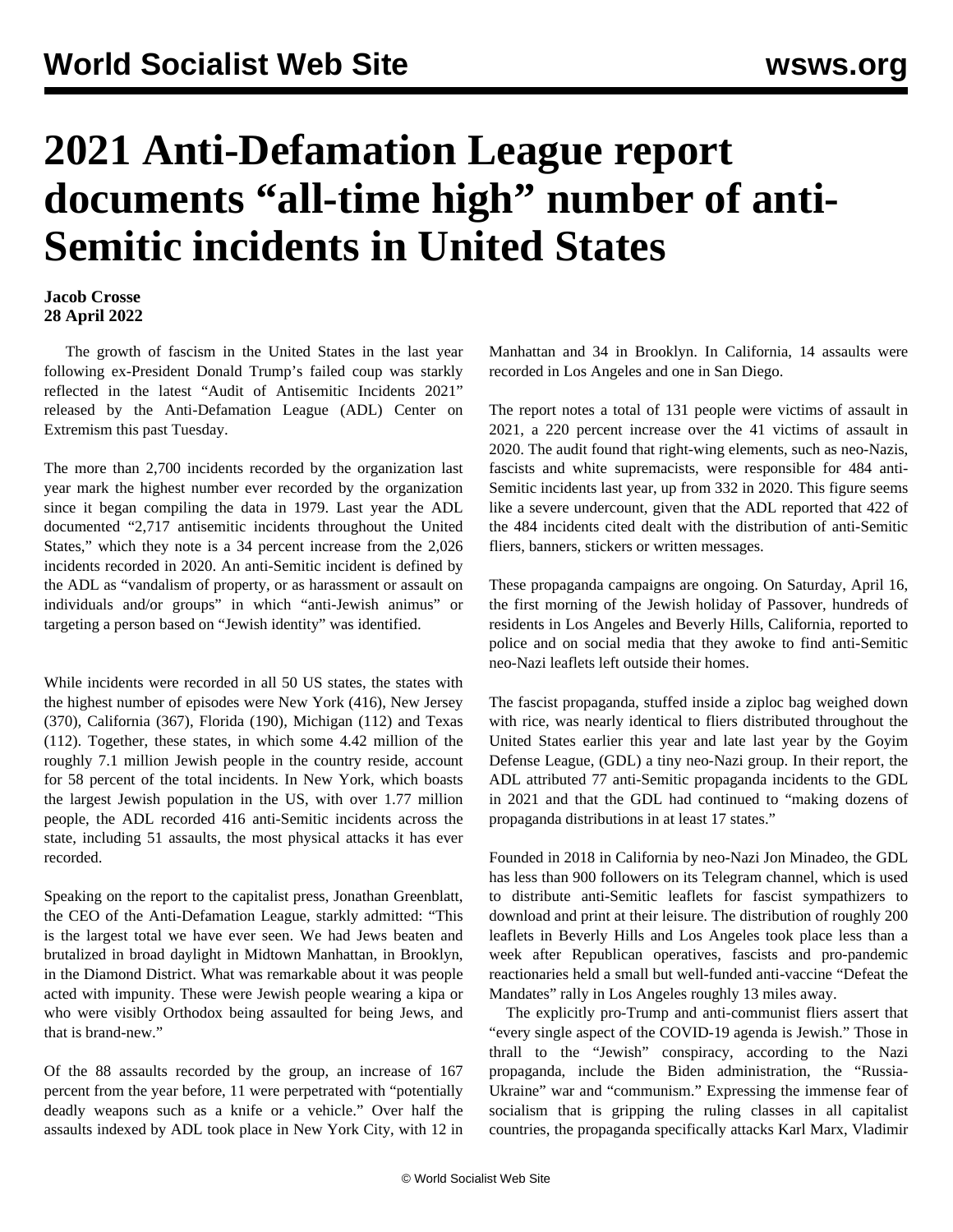## **2021 Anti-Defamation League report documents "all-time high" number of anti-Semitic incidents in United States**

## **Jacob Crosse 28 April 2022**

 The growth of fascism in the United States in the last year following ex-President Donald Trump's failed coup was starkly reflected in the latest "[Audit of Antisemitic Incidents 2021](https://www.adl.org/media/17765/download)" released by the Anti-Defamation League (ADL) Center on Extremism this past Tuesday.

The more than 2,700 incidents recorded by the organization last year mark the highest number ever recorded by the organization since it began compiling the data in 1979. Last year the ADL documented "2,717 antisemitic incidents throughout the United States," which they note is a 34 percent increase from the 2,026 incidents recorded in 2020. An anti-Semitic incident is defined by the ADL as "vandalism of property, or as harassment or assault on individuals and/or groups" in which "anti-Jewish animus" or targeting a person based on "Jewish identity" was identified.

While incidents were recorded in all 50 US states, the states with the highest number of episodes were New York (416), New Jersey (370), California (367), Florida (190), Michigan (112) and Texas (112). Together, these states, in which some 4.42 million of the roughly 7.1 million Jewish people in the country reside, account for 58 percent of the total incidents. In New York, which boasts the largest Jewish population in the US, with over 1.77 million people, the ADL recorded 416 anti-Semitic incidents across the state, including 51 assaults, the most physical attacks it has ever recorded.

Speaking on the report to the capitalist press, Jonathan Greenblatt, the CEO of the Anti-Defamation League, starkly admitted: "This is the largest total we have ever seen. We had Jews beaten and brutalized in broad daylight in Midtown Manhattan, in Brooklyn, in the Diamond District. What was remarkable about it was people acted with impunity. These were Jewish people wearing a kipa or who were visibly Orthodox being assaulted for being Jews, and that is brand-new."

Of the 88 assaults recorded by the group, an increase of 167 percent from the year before, 11 were perpetrated with "potentially deadly weapons such as a knife or a vehicle." Over half the assaults indexed by ADL took place in New York City, with 12 in Manhattan and 34 in Brooklyn. In California, 14 assaults were recorded in Los Angeles and one in San Diego.

The report notes a total of 131 people were victims of assault in 2021, a 220 percent increase over the 41 victims of assault in 2020. The audit found that right-wing elements, such as neo-Nazis, fascists and white supremacists, were responsible for 484 anti-Semitic incidents last year, up from 332 in 2020. This figure seems like a severe undercount, given that the ADL reported that 422 of the 484 incidents cited dealt with the distribution of anti-Semitic fliers, banners, stickers or written messages.

These propaganda campaigns are ongoing. On Saturday, April 16, the first morning of the Jewish holiday of Passover, hundreds of residents in Los Angeles and Beverly Hills, California, reported to police and on social media that they awoke to find anti-Semitic neo-Nazi leaflets left outside their homes.

The fascist propaganda, stuffed inside a ziploc bag weighed down with rice, was nearly identical to fliers distributed throughout the United States [earlier this year](/en/articles/2022/01/26/vaxx-j26.html) and late last year by the Goyim Defense League, (GDL) a tiny neo-Nazi group. In their report, the ADL attributed 77 anti-Semitic propaganda incidents to the GDL in 2021 and that the GDL had continued to "making dozens of propaganda distributions in at least 17 states."

Founded in 2018 in California by neo-Nazi Jon Minadeo, the GDL has less than 900 followers on its Telegram channel, which is used to distribute anti-Semitic leaflets for fascist sympathizers to download and print at their leisure. The distribution of roughly 200 leaflets in Beverly Hills and Los Angeles took place less than a week after Republican operatives, fascists and pro-pandemic reactionaries held a small but well-funded [anti-vaccine](/en/articles/2022/04/14/mand-a14.html) "Defeat the Mandates" rally in Los Angeles roughly 13 miles away.

 The explicitly pro-Trump and anti-communist fliers assert that "every single aspect of the COVID-19 agenda is Jewish." Those in thrall to the "Jewish" conspiracy, according to the Nazi propaganda, include the Biden administration, the "Russia-Ukraine" war and "communism." Expressing the immense fear of socialism that is gripping the ruling classes in all capitalist countries, the propaganda specifically attacks Karl Marx, Vladimir